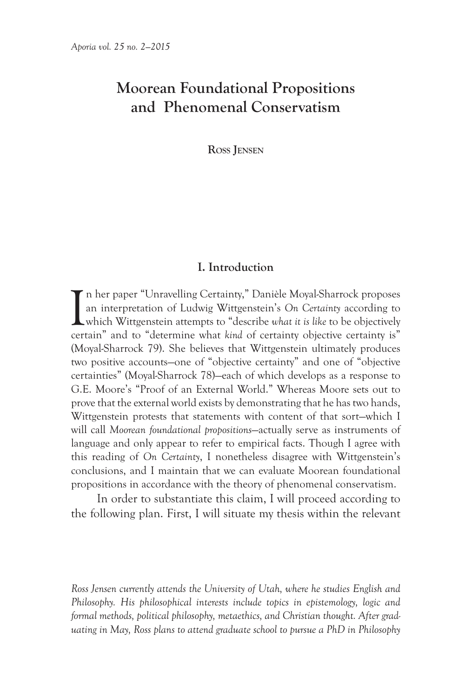# **Moorean Foundational Propositions and Phenomenal Conservatism**

**Ross Jensen**

# **I. Introduction**

I n her paper "Unravelling Certainty," Danièle Moyal-Sharrock proposes an interpretation of Ludwig Wittgenstein's *On Certainty* according to which Wittgenstein attempts to "describe *what it is like* to be objectively certain" and to "determine what *kind* of certainty objective certainty is" (Moyal-Sharrock 79). She believes that Wittgenstein ultimately produces two positive accounts—one of "objective certainty" and one of "objective certainties" (Moyal-Sharrock 78)—each of which develops as a response to G.E. Moore's "Proof of an External World." Whereas Moore sets out to prove that the external world exists by demonstrating that he has two hands, Wittgenstein protests that statements with content of that sort—which I will call *Moorean foundational propositions*—actually serve as instruments of language and only appear to refer to empirical facts. Though I agree with this reading of *On Certainty*, I nonetheless disagree with Wittgenstein's conclusions, and I maintain that we can evaluate Moorean foundational propositions in accordance with the theory of phenomenal conservatism.

In order to substantiate this claim, I will proceed according to the following plan. First, I will situate my thesis within the relevant

*Ross Jensen currently attends the University of Utah, where he studies English and Philosophy. His philosophical interests include topics in epistemology, logic and formal methods, political philosophy, metaethics, and Christian thought. After graduating in May, Ross plans to attend graduate school to pursue a PhD in Philosophy*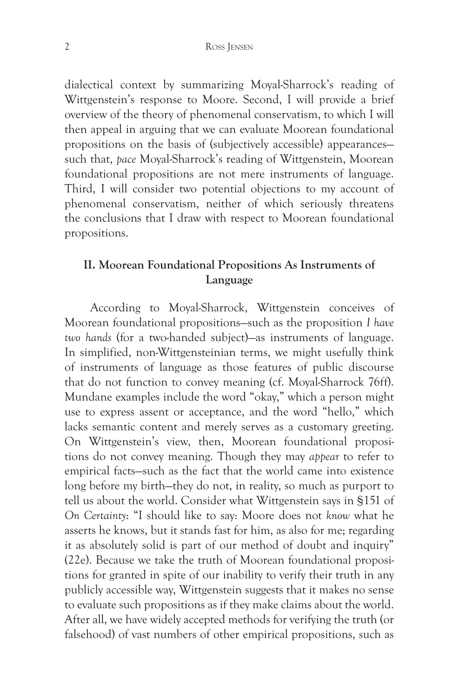#### 2 Ross Jensen

dialectical context by summarizing Moyal-Sharrock's reading of Wittgenstein's response to Moore. Second, I will provide a brief overview of the theory of phenomenal conservatism, to which I will then appeal in arguing that we can evaluate Moorean foundational propositions on the basis of (subjectively accessible) appearances such that, *pace* Moyal-Sharrock's reading of Wittgenstein, Moorean foundational propositions are not mere instruments of language. Third, I will consider two potential objections to my account of phenomenal conservatism, neither of which seriously threatens the conclusions that I draw with respect to Moorean foundational propositions.

# **II. Moorean Foundational Propositions As Instruments of Language**

According to Moyal-Sharrock, Wittgenstein conceives of Moorean foundational propositions—such as the proposition *I have two hands* (for a two-handed subject)—as instruments of language. In simplified, non-Wittgensteinian terms, we might usefully think of instruments of language as those features of public discourse that do not function to convey meaning (cf. Moyal-Sharrock 76ff). Mundane examples include the word "okay," which a person might use to express assent or acceptance, and the word "hello," which lacks semantic content and merely serves as a customary greeting. On Wittgenstein's view, then, Moorean foundational propositions do not convey meaning. Though they may *appear* to refer to empirical facts—such as the fact that the world came into existence long before my birth—they do not, in reality, so much as purport to tell us about the world. Consider what Wittgenstein says in §151 of *On Certainty*: "I should like to say: Moore does not *know* what he asserts he knows, but it stands fast for him, as also for me; regarding it as absolutely solid is part of our method of doubt and inquiry" (22e). Because we take the truth of Moorean foundational propositions for granted in spite of our inability to verify their truth in any publicly accessible way, Wittgenstein suggests that it makes no sense to evaluate such propositions as if they make claims about the world. After all, we have widely accepted methods for verifying the truth (or falsehood) of vast numbers of other empirical propositions, such as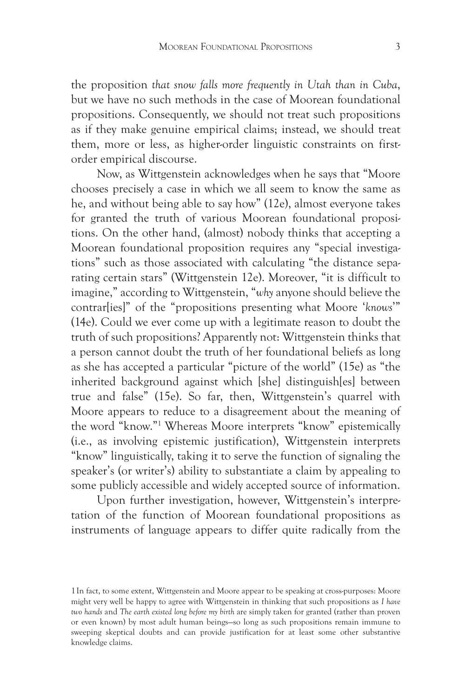the proposition *that snow falls more frequently in Utah than in Cuba*, but we have no such methods in the case of Moorean foundational propositions. Consequently, we should not treat such propositions as if they make genuine empirical claims; instead, we should treat them, more or less, as higher-order linguistic constraints on firstorder empirical discourse.

Now, as Wittgenstein acknowledges when he says that "Moore chooses precisely a case in which we all seem to know the same as he, and without being able to say how" (12e), almost everyone takes for granted the truth of various Moorean foundational propositions. On the other hand, (almost) nobody thinks that accepting a Moorean foundational proposition requires any "special investigations" such as those associated with calculating "the distance separating certain stars" (Wittgenstein 12e). Moreover, "it is difficult to imagine," according to Wittgenstein, "*why* anyone should believe the contrar[ies]" of the "propositions presenting what Moore '*knows*'" (14e). Could we ever come up with a legitimate reason to doubt the truth of such propositions? Apparently not: Wittgenstein thinks that a person cannot doubt the truth of her foundational beliefs as long as she has accepted a particular "picture of the world" (15e) as "the inherited background against which [she] distinguish[es] between true and false" (15e). So far, then, Wittgenstein's quarrel with Moore appears to reduce to a disagreement about the meaning of the word "know."1 Whereas Moore interprets "know" epistemically (i.e., as involving epistemic justification), Wittgenstein interprets "know" linguistically, taking it to serve the function of signaling the speaker's (or writer's) ability to substantiate a claim by appealing to some publicly accessible and widely accepted source of information.

Upon further investigation, however, Wittgenstein's interpretation of the function of Moorean foundational propositions as instruments of language appears to differ quite radically from the

<sup>1</sup>In fact, to some extent, Wittgenstein and Moore appear to be speaking at cross-purposes: Moore might very well be happy to agree with Wittgenstein in thinking that such propositions as *I have two hands* and *The earth existed long before my birth* are simply taken for granted (rather than proven or even known) by most adult human beings—so long as such propositions remain immune to sweeping skeptical doubts and can provide justification for at least some other substantive knowledge claims.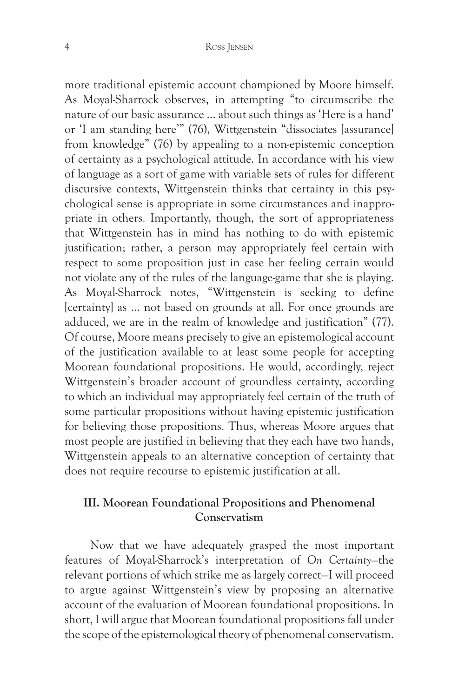more traditional epistemic account championed by Moore himself. As Moyal-Sharrock observes, in attempting "to circumscribe the nature of our basic assurance … about such things as 'Here is a hand' or 'I am standing here'" (76), Wittgenstein "dissociates [assurance] from knowledge" (76) by appealing to a non-epistemic conception of certainty as a psychological attitude. In accordance with his view of language as a sort of game with variable sets of rules for different discursive contexts, Wittgenstein thinks that certainty in this psychological sense is appropriate in some circumstances and inappropriate in others. Importantly, though, the sort of appropriateness that Wittgenstein has in mind has nothing to do with epistemic justification; rather, a person may appropriately feel certain with respect to some proposition just in case her feeling certain would not violate any of the rules of the language-game that she is playing. As Moyal-Sharrock notes, "Wittgenstein is seeking to define [certainty] as … not based on grounds at all. For once grounds are adduced, we are in the realm of knowledge and justification" (77). Of course, Moore means precisely to give an epistemological account of the justification available to at least some people for accepting Moorean foundational propositions. He would, accordingly, reject Wittgenstein's broader account of groundless certainty, according to which an individual may appropriately feel certain of the truth of some particular propositions without having epistemic justification for believing those propositions. Thus, whereas Moore argues that most people are justified in believing that they each have two hands, Wittgenstein appeals to an alternative conception of certainty that does not require recourse to epistemic justification at all.

# **III. Moorean Foundational Propositions and Phenomenal Conservatism**

Now that we have adequately grasped the most important features of Moyal-Sharrock's interpretation of *On Certainty*—the relevant portions of which strike me as largely correct—I will proceed to argue against Wittgenstein's view by proposing an alternative account of the evaluation of Moorean foundational propositions. In short, I will argue that Moorean foundational propositions fall under the scope of the epistemological theory of phenomenal conservatism.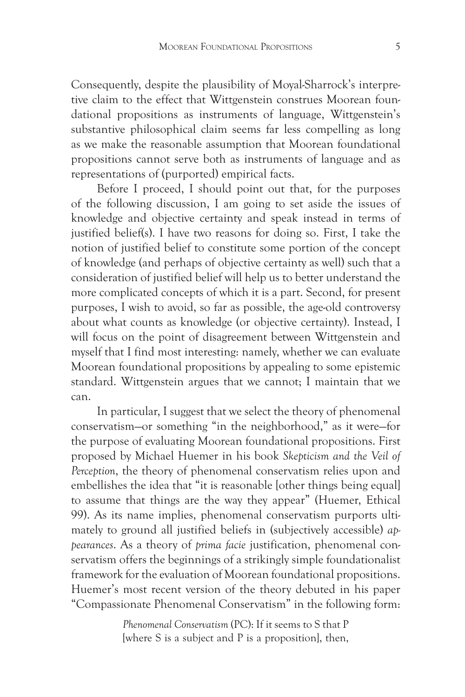Consequently, despite the plausibility of Moyal-Sharrock's interpretive claim to the effect that Wittgenstein construes Moorean foundational propositions as instruments of language, Wittgenstein's substantive philosophical claim seems far less compelling as long as we make the reasonable assumption that Moorean foundational propositions cannot serve both as instruments of language and as representations of (purported) empirical facts.

Before I proceed, I should point out that, for the purposes of the following discussion, I am going to set aside the issues of knowledge and objective certainty and speak instead in terms of justified belief(s). I have two reasons for doing so. First, I take the notion of justified belief to constitute some portion of the concept of knowledge (and perhaps of objective certainty as well) such that a consideration of justified belief will help us to better understand the more complicated concepts of which it is a part. Second, for present purposes, I wish to avoid, so far as possible, the age-old controversy about what counts as knowledge (or objective certainty). Instead, I will focus on the point of disagreement between Wittgenstein and myself that I find most interesting: namely, whether we can evaluate Moorean foundational propositions by appealing to some epistemic standard. Wittgenstein argues that we cannot; I maintain that we can.

In particular, I suggest that we select the theory of phenomenal conservatism—or something "in the neighborhood," as it were—for the purpose of evaluating Moorean foundational propositions. First proposed by Michael Huemer in his book *Skepticism and the Veil of Perception*, the theory of phenomenal conservatism relies upon and embellishes the idea that "it is reasonable [other things being equal] to assume that things are the way they appear" (Huemer, Ethical 99). As its name implies, phenomenal conservatism purports ultimately to ground all justified beliefs in (subjectively accessible) *appearances*. As a theory of *prima facie* justification, phenomenal conservatism offers the beginnings of a strikingly simple foundationalist framework for the evaluation of Moorean foundational propositions. Huemer's most recent version of the theory debuted in his paper "Compassionate Phenomenal Conservatism" in the following form:

> *Phenomenal Conservatism* (PC): If it seems to S that P [where S is a subject and P is a proposition], then,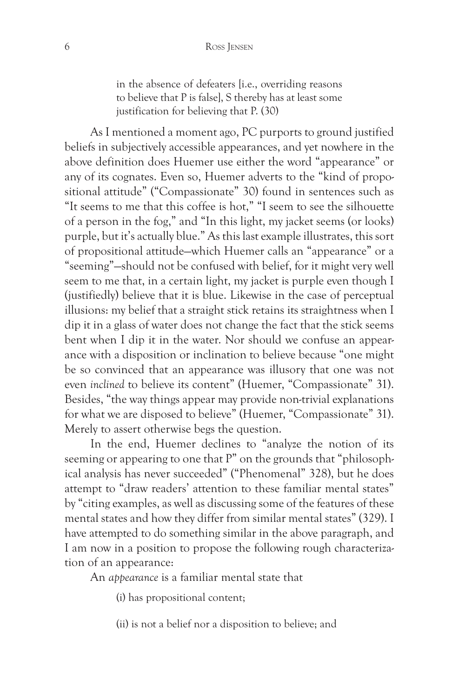in the absence of defeaters [i.e., overriding reasons to believe that P is false], S thereby has at least some justification for believing that P. (30)

As I mentioned a moment ago, PC purports to ground justified beliefs in subjectively accessible appearances, and yet nowhere in the above definition does Huemer use either the word "appearance" or any of its cognates. Even so, Huemer adverts to the "kind of propositional attitude" ("Compassionate" 30) found in sentences such as "It seems to me that this coffee is hot," "I seem to see the silhouette of a person in the fog," and "In this light, my jacket seems (or looks) purple, but it's actually blue." As this last example illustrates, this sort of propositional attitude—which Huemer calls an "appearance" or a "seeming"—should not be confused with belief, for it might very well seem to me that, in a certain light, my jacket is purple even though I (justifiedly) believe that it is blue. Likewise in the case of perceptual illusions: my belief that a straight stick retains its straightness when I dip it in a glass of water does not change the fact that the stick seems bent when I dip it in the water. Nor should we confuse an appearance with a disposition or inclination to believe because "one might be so convinced that an appearance was illusory that one was not even *inclined* to believe its content" (Huemer, "Compassionate" 31). Besides, "the way things appear may provide non-trivial explanations for what we are disposed to believe" (Huemer, "Compassionate" 31). Merely to assert otherwise begs the question.

In the end, Huemer declines to "analyze the notion of its seeming or appearing to one that P" on the grounds that "philosophical analysis has never succeeded" ("Phenomenal" 328), but he does attempt to "draw readers' attention to these familiar mental states" by "citing examples, as well as discussing some of the features of these mental states and how they differ from similar mental states" (329). I have attempted to do something similar in the above paragraph, and I am now in a position to propose the following rough characterization of an appearance:

An *appearance* is a familiar mental state that

(i) has propositional content;

(ii) is not a belief nor a disposition to believe; and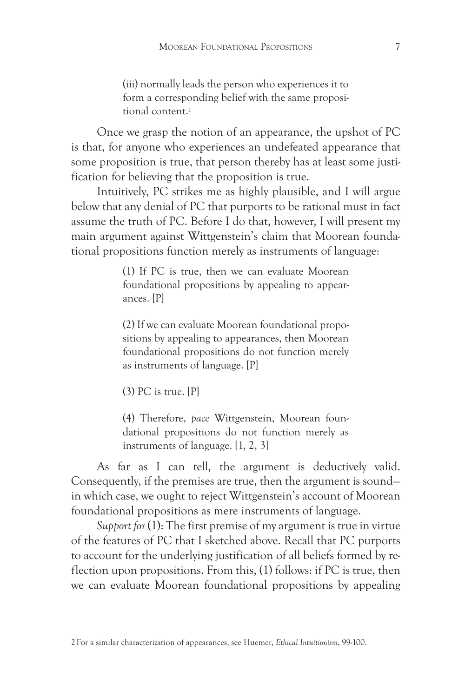(iii) normally leads the person who experiences it to form a corresponding belief with the same propositional content.2

Once we grasp the notion of an appearance, the upshot of PC is that, for anyone who experiences an undefeated appearance that some proposition is true, that person thereby has at least some justification for believing that the proposition is true.

Intuitively, PC strikes me as highly plausible, and I will argue below that any denial of PC that purports to be rational must in fact assume the truth of PC. Before I do that, however, I will present my main argument against Wittgenstein's claim that Moorean foundational propositions function merely as instruments of language:

> (1) If PC is true, then we can evaluate Moorean foundational propositions by appealing to appearances. [P]

> (2) If we can evaluate Moorean foundational propositions by appealing to appearances, then Moorean foundational propositions do not function merely as instruments of language. [P]

(3) PC is true. [P]

(4) Therefore, *pace* Wittgenstein, Moorean foundational propositions do not function merely as instruments of language. [1, 2, 3]

As far as I can tell, the argument is deductively valid. Consequently, if the premises are true, then the argument is sound in which case, we ought to reject Wittgenstein's account of Moorean foundational propositions as mere instruments of language.

*Support for* (1): The first premise of my argument is true in virtue of the features of PC that I sketched above. Recall that PC purports to account for the underlying justification of all beliefs formed by reflection upon propositions. From this, (1) follows: if PC is true, then we can evaluate Moorean foundational propositions by appealing

2For a similar characterization of appearances, see Huemer, *Ethical Intuitionism*, 99-100.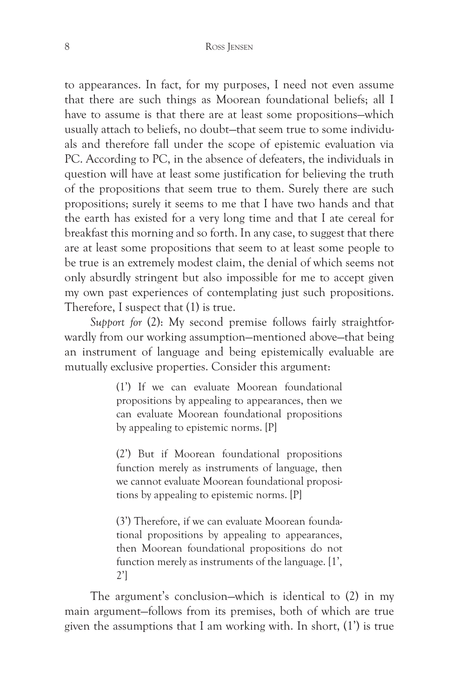to appearances. In fact, for my purposes, I need not even assume that there are such things as Moorean foundational beliefs; all I have to assume is that there are at least some propositions—which usually attach to beliefs, no doubt—that seem true to some individuals and therefore fall under the scope of epistemic evaluation via PC. According to PC, in the absence of defeaters, the individuals in question will have at least some justification for believing the truth of the propositions that seem true to them. Surely there are such propositions; surely it seems to me that I have two hands and that the earth has existed for a very long time and that I ate cereal for breakfast this morning and so forth. In any case, to suggest that there are at least some propositions that seem to at least some people to be true is an extremely modest claim, the denial of which seems not only absurdly stringent but also impossible for me to accept given my own past experiences of contemplating just such propositions. Therefore, I suspect that (1) is true.

*Support for* (2): My second premise follows fairly straightforwardly from our working assumption—mentioned above—that being an instrument of language and being epistemically evaluable are mutually exclusive properties. Consider this argument:

> (1') If we can evaluate Moorean foundational propositions by appealing to appearances, then we can evaluate Moorean foundational propositions by appealing to epistemic norms. [P]

> (2') But if Moorean foundational propositions function merely as instruments of language, then we cannot evaluate Moorean foundational propositions by appealing to epistemic norms. [P]

> (3') Therefore, if we can evaluate Moorean foundational propositions by appealing to appearances, then Moorean foundational propositions do not function merely as instruments of the language. [1', 2']

The argument's conclusion—which is identical to (2) in my main argument—follows from its premises, both of which are true given the assumptions that I am working with. In short, (1') is true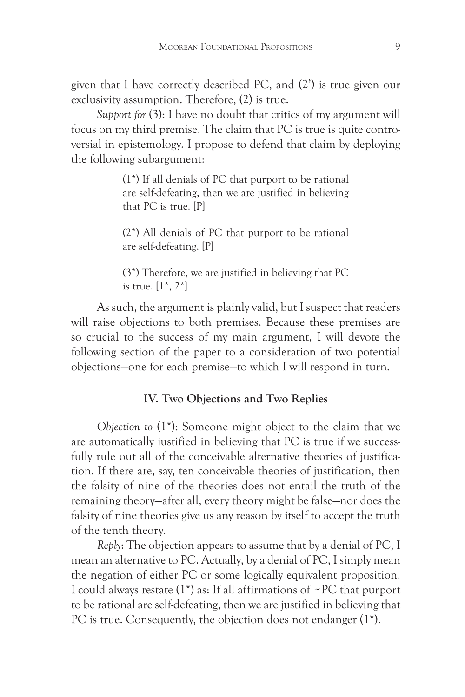given that I have correctly described PC, and (2') is true given our exclusivity assumption. Therefore, (2) is true.

*Support for* (3): I have no doubt that critics of my argument will focus on my third premise. The claim that PC is true is quite controversial in epistemology. I propose to defend that claim by deploying the following subargument:

> (1\*) If all denials of PC that purport to be rational are self-defeating, then we are justified in believing that PC is true. [P]

> (2\*) All denials of PC that purport to be rational are self-defeating. [P]

> (3\*) Therefore, we are justified in believing that PC is true.  $[1^*, 2^*]$

As such, the argument is plainly valid, but I suspect that readers will raise objections to both premises. Because these premises are so crucial to the success of my main argument, I will devote the following section of the paper to a consideration of two potential objections—one for each premise—to which I will respond in turn.

### **IV. Two Objections and Two Replies**

*Objection to* (1\*): Someone might object to the claim that we are automatically justified in believing that PC is true if we successfully rule out all of the conceivable alternative theories of justification. If there are, say, ten conceivable theories of justification, then the falsity of nine of the theories does not entail the truth of the remaining theory—after all, every theory might be false—nor does the falsity of nine theories give us any reason by itself to accept the truth of the tenth theory.

*Reply*: The objection appears to assume that by a denial of PC, I mean an alternative to PC. Actually, by a denial of PC, I simply mean the negation of either PC or some logically equivalent proposition. I could always restate  $(1^*)$  as: If all affirmations of  $\sim$  PC that purport to be rational are self-defeating, then we are justified in believing that PC is true. Consequently, the objection does not endanger (1\*).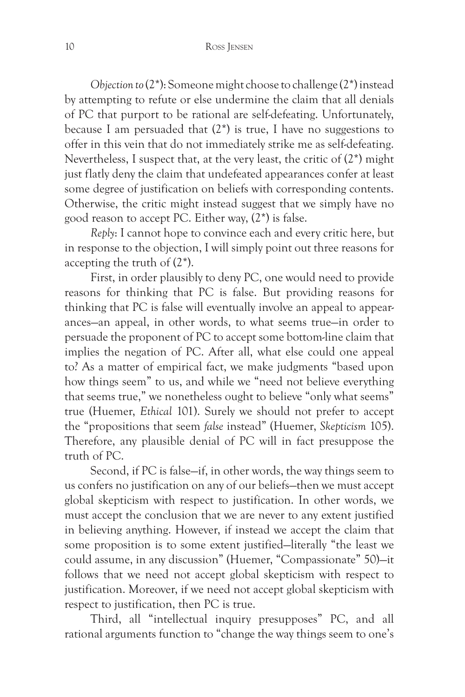*Objection to* (2\*): Someone might choose to challenge (2\*) instead by attempting to refute or else undermine the claim that all denials of PC that purport to be rational are self-defeating. Unfortunately, because I am persuaded that (2\*) is true, I have no suggestions to offer in this vein that do not immediately strike me as self-defeating. Nevertheless, I suspect that, at the very least, the critic of (2\*) might just flatly deny the claim that undefeated appearances confer at least some degree of justification on beliefs with corresponding contents. Otherwise, the critic might instead suggest that we simply have no good reason to accept PC. Either way, (2\*) is false.

*Reply*: I cannot hope to convince each and every critic here, but in response to the objection, I will simply point out three reasons for accepting the truth of (2\*).

First, in order plausibly to deny PC, one would need to provide reasons for thinking that PC is false. But providing reasons for thinking that PC is false will eventually involve an appeal to appearances—an appeal, in other words, to what seems true—in order to persuade the proponent of PC to accept some bottom-line claim that implies the negation of PC. After all, what else could one appeal to? As a matter of empirical fact, we make judgments "based upon how things seem" to us, and while we "need not believe everything that seems true," we nonetheless ought to believe "only what seems" true (Huemer, *Ethical* 101). Surely we should not prefer to accept the "propositions that seem *false* instead" (Huemer, *Skepticism* 105). Therefore, any plausible denial of PC will in fact presuppose the truth of PC.

Second, if PC is false—if, in other words, the way things seem to us confers no justification on any of our beliefs—then we must accept global skepticism with respect to justification. In other words, we must accept the conclusion that we are never to any extent justified in believing anything. However, if instead we accept the claim that some proposition is to some extent justified—literally "the least we could assume, in any discussion" (Huemer, "Compassionate" 50)—it follows that we need not accept global skepticism with respect to justification. Moreover, if we need not accept global skepticism with respect to justification, then PC is true.

Third, all "intellectual inquiry presupposes" PC, and all rational arguments function to "change the way things seem to one's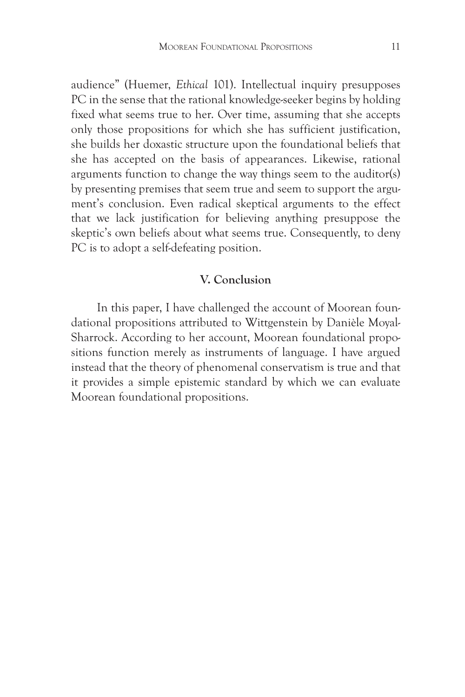audience" (Huemer, *Ethical* 101). Intellectual inquiry presupposes PC in the sense that the rational knowledge-seeker begins by holding fixed what seems true to her. Over time, assuming that she accepts only those propositions for which she has sufficient justification, she builds her doxastic structure upon the foundational beliefs that she has accepted on the basis of appearances. Likewise, rational arguments function to change the way things seem to the auditor(s) by presenting premises that seem true and seem to support the argument's conclusion. Even radical skeptical arguments to the effect that we lack justification for believing anything presuppose the skeptic's own beliefs about what seems true. Consequently, to deny PC is to adopt a self-defeating position.

# **V. Conclusion**

In this paper, I have challenged the account of Moorean foundational propositions attributed to Wittgenstein by Danièle Moyal-Sharrock. According to her account, Moorean foundational propositions function merely as instruments of language. I have argued instead that the theory of phenomenal conservatism is true and that it provides a simple epistemic standard by which we can evaluate Moorean foundational propositions.